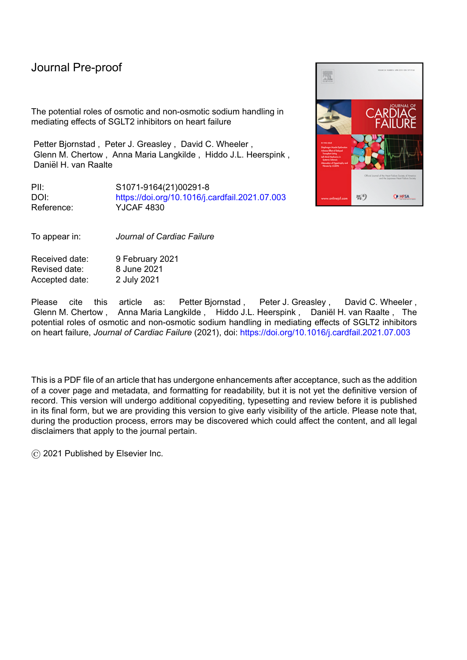## Journal Pre-proof

The potential roles of osmotic and non-osmotic sodium handling in mediating effects of SGLT2 inhibitors on heart failure

Petter Bjornstad , Peter J. Greasley , David C. Wheeler , Glenn M. Chertow , Anna Maria Langkilde , Hiddo J.L. Heerspink , Daniël H. van Raalte

PII: S1071-9164(21)00291-8 DOI: <https://doi.org/10.1016/j.cardfail.2021.07.003> Reference: YJCAF 4830

To appear in: *Journal of Cardiac Failure*

Received date: 9 February 2021 Revised date: 8 June 2021 Accepted date: 2 July 2021

Please cite this article as: Petter Bjornstad, Peter J. Greasley, David C. Wheeler, Glenn M. Chertow , Anna Maria Langkilde , Hiddo J.L. Heerspink , Daniël H. van Raalte , The potential roles of osmotic and non-osmotic sodium handling in mediating effects of SGLT2 inhibitors on heart failure, *Journal of Cardiac Failure* (2021), doi: <https://doi.org/10.1016/j.cardfail.2021.07.003>

This is a PDF file of an article that has undergone enhancements after acceptance, such as the addition of a cover page and metadata, and formatting for readability, but it is not yet the definitive version of record. This version will undergo additional copyediting, typesetting and review before it is published in its final form, but we are providing this version to give early visibility of the article. Please note that, during the production process, errors may be discovered which could affect the content, and all legal disclaimers that apply to the journal pertain.

© 2021 Published by Elsevier Inc.

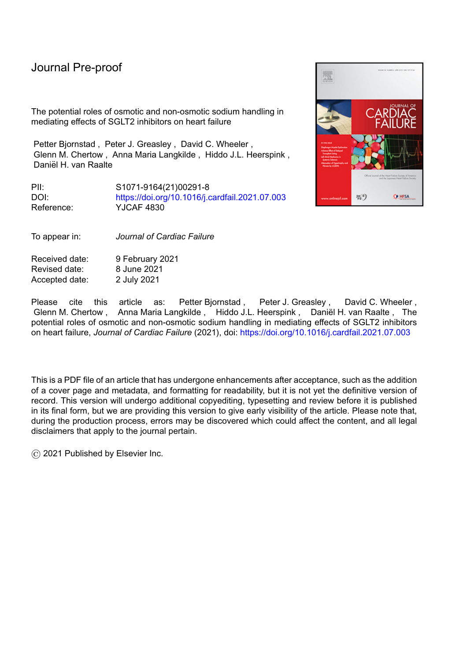# **Title: The potential roles of osmotic and non-osmotic sodium handling in mediating effects of SGLT2**

# **inhibitors on heart failure**

Short title: *Sodium & HF outcomes of SGLT2i*

Petter Bjornstad<sup>a</sup>, Peter J. Greasley<sup>b</sup>, David C. Wheeler<sup>c,d</sup>, Glenn M. Chertow<sup>e</sup>, Anna Maria Langkilde<sup>b</sup>, Hiddo J.L. Heerspink<sup>d,f</sup>, and Daniël H. van Raalte<sup>\*g</sup>

<sup>a</sup> University of Colorado Anschutz Medical Campus and Children's Hospital Colorado, Aurora, CO, USA; <sup>b</sup>BioPharmaceuticals R&D, AstraZeneca, Gothenburg, Sweden;  $c^c$  Department of Renal Medicine, University College London, London, UK; <sup>d</sup> The George Institute for Global Health, Sydney, Australia; <sup>e</sup> Division of Nephrology, Department of Medicine, Stanford University School of Medicine, Palo Alto, CA, USA; <sup>f</sup> Department of Clinical Pharmacy and Pharmacology, University of Groningen, University Medical Center Groningen, Groningen, The Netherlands; <sup>g</sup> Diabetes Center, Department of Internal Medicine, Amsterdam University Medical Center, location VUMC, Amsterdam, The Netherlands

#### **\*Corresponding author information:**

Daniël van Raalte, M.D., Ph.D.

Amsterdam University Medical Center, location VUMC

De Boelelaan 1117, 1081 HV

Amsterdam, The Netherlands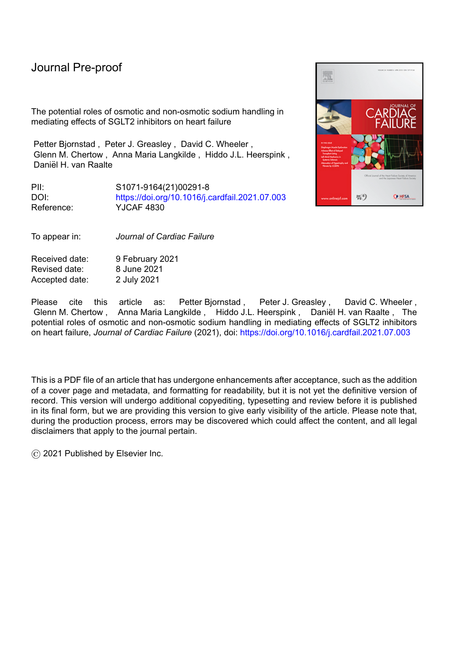Phone: +31 20 4440534

E-mail: d.vanraalte@vumc.nl

**Highlights** 

SGLT2 inhibitors (SGLT2i) mitigate CKD progression and HF hospitalization

Sodium regulation may contribute to SGLT2i's cardioprotective mechanisms

**SGLT2i might mitigate HF via effects on non-osmotic sodium storage** 

**Abstract word count: 199200**

**Manuscript word count: 40743649**

#### **Abbreviations**

AKI, acute kidney injury; BP, blood pressure; CKD, chronic kidney disease; ECV, extracellular volume; ESL, endothelial surface layer; GFR, glomerular filtration rate; HF, heart failure; HFrEF, heart failure with reduced ejection fraction; MRI, magnetic resonance imaging; NHE3, Na<sup>+</sup>/H<sup>+</sup> exchanger isoform 3; PWV, pulse wave velocity; RAAS, renin– angiotensin–aldosterone system; SGLT1, sodium-glucose cotransporter 1; SGLT2, sodium-glucose cotransporter 2; T2D, type 2 diabetes.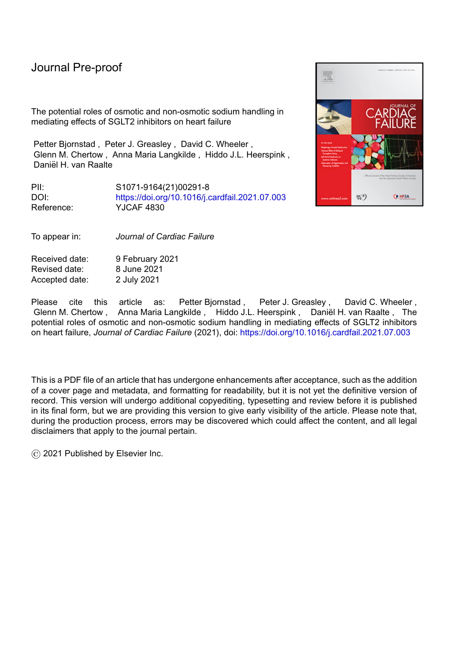#### **Abstract [limit 200 words, current 199200]:**

Concomitant type 2 diabetes and chronic kidney disease (CKD) increases the risk of cardiovascular disease (CVD), including heart failure (HF). Renoprotective agents, while decreasing fluid overload and blood pressure and improving endothelial function and vascular may protect against CVD and HF. Conversely, glucose-lowering drugs modestly ameliorate CVD risk and possibly even worsen HF outcomes. Recent studies demonstrate beneficial effects of sodium-glucose cotransporter 2 inhibitors (SGLT2i) on CKD progression  $and$ , HF hospitalization, and other cardiovascular outcomes, in patients  $\pm$ with and without diabetes. The underlying mechanisms are incompletely explained by modest improvements in blood pressure, glycemic control, body weight, and serum urate. In addition to inhibiting glucose reabsorption, SGLT2i reduce proximal tubular sodium reabsorption, possibly leading to transient natriuresis. We review the hypothesis that **SGLT2i** sthe natriuretic and osmotic diuretic effects of SGLT2i mediate their cardio-protective effects. The degree to which these benefits are related to changes in sodium, independent of the kidney, is currently unknown. Aside from effects on osmotically active sodium, we explore the intriguing possibility that SGLT2i could also modulate non-osmotic sodium storage. This alternative hypothesis is based on emerging literature that challenges the traditional two-compartment model of sodium balance to provide support for a three-compartment model that includes the binding of sodium to glycosaminoglycans, such as those in muscles and skin. This Rrecent research on non-osmotic sodium storage, as well as and direct cardiac effects of SGLT2i, provides possibilities for other ways in which SGLT2i inhibitors might contribute to their benefits inmitigate HF risk. Overall, wWe reviewexplore the effects of SGLT2i on sodium balance and sensitivity, cardiac tissue, interstitial fluid and plasma volume, and non-osmotic sodium storage.

3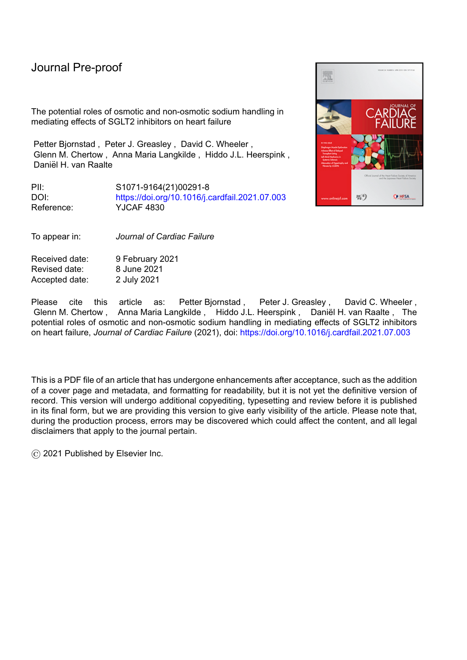**Keywords:** Heart failure, Natriuresis, Non-osmotic sodium, SGLT2 inhibitors

Journal President

4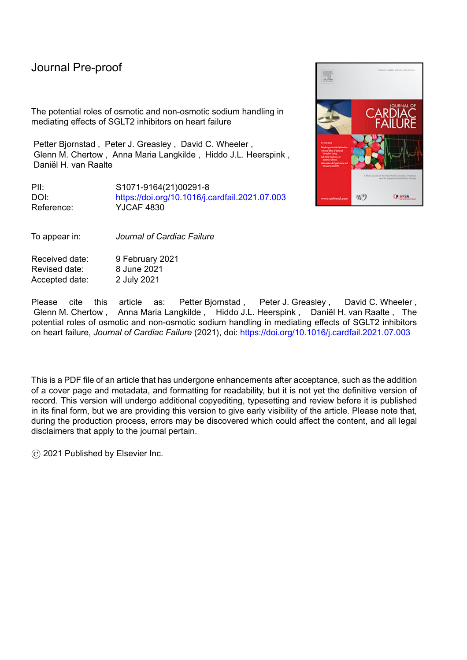#### **Introduction**

Type 2 diabetes (T2D) is an established risk factor for ischemic cardiovascular disease (CVD) and heart failure (HF).(1) The risks of ischemic CVD and HF are increased with albuminuria and/or impaired kidney function. Although in recent decades cardiovascular outcomes have improved for adults with or without T2D, reducing the burden associated with HF by treating classical cardiovascular risk factors has proven to be difficult and thus remains a major public health priority.(2) Accordingly, the introduction of sodium-glucose cotransporter (SGLT) 2 inhibitors offers promise to mitigate cardiorenal disease in people with or without T2D. However, to better understand the role of these drugs in the cardiovascular system, it is important to define their mechanism of action on the cardiorenal axis.

The kidney contributes to glucose homeostasis by actively reabsorbing nearly all of the filtered glucose in the proximal tubule. Although the kinetics of renal glucose reabsorption were first described nearly 90 years ago, it took until the early 1970s to demonstrate that glucose reabsorption occurs in the proximal tubule through two distinct sodium-glucose cotransport systems. Shortly thereafter, two sodium-glucose cotransporters (SGLT1 and SGLT2) were discovered.(3) SGLT1 is a high-affinity, low-capacity transporter responsible for approximately 10% of the renal glucose reabsorption; SGLT2 is a low-affinity, highcapacity transporter responsible for approximately 90% of the renal glucose reabsorption.(4, 5) Together, these transporters are thought to be responsible for total renal glucose reabsorption. In addition to glucose reabsorption, SGLT1 and SGLT2 also facilitate concomitant sodium reabsorption. Approximately two-thirds of the total kidney sodium reabsorption occurs in the proximal tubule, although the extent to which this reabsorption is mediated by SGLT1 and SGLT2 presently remains unknown.(6)

SGLT2 inhibitors were granted marketing authorization in 2014 as glucose-lowering drugs, and work by inducing glucosuria. Through their mechanism of action, the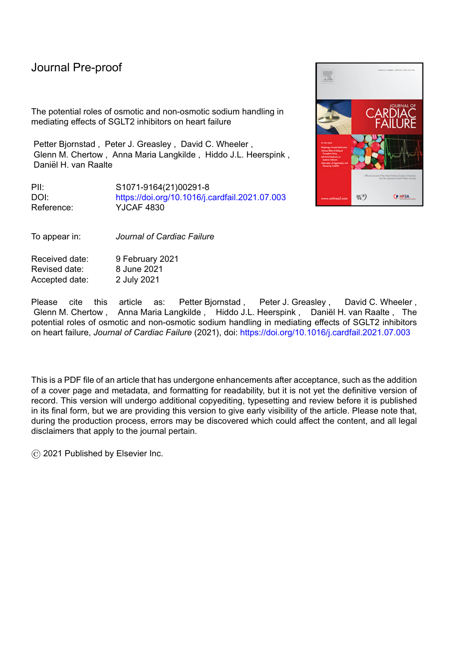### Journal

#### June 7, 2021

glucose-lowering effects of SGLT2 inhibitors in patients with chronic kidney disease (CKD) are modest.(7) However, these drugs have recently received considerable attention in large cardiovascular safety trials owing to favorable HF and renal benefits (Figure 1). For example, in patients with T2D and high CVD risk, the EMPA-REG OUTCOME trial demonstrated a 35% relative risk reduction in hospitalization for HF for empagliflozin versus placebo,(8) while the CANVAS Program with canagliflozin demonstrated beneficial cardiovascular and renal outcomes.(9) The CREDENCE trial, which studied the effects of canagliflozin in patients with T2D and diabetic kidney disease,(10) reported a reduction in HF hospitalization by 39% (95% CI 20%–53%), in addition to attenuating loss of kidney function. Given the ong link between CKD and HF, this further emphasizes the importance of the cardiorenal axis.(10) By comparison, studies assessing the cardiovascular effects of glucose lowering *per se*, when mediated by other agents, had not demonstrated similar benefits, while HF outcomes may even be worsened by some glucose-lowering drugs.(11, 12)

Since publication of the results of several these and other cardiovascular safety trials (Figure 1), as well as real-world effectiveness studies (e.g., CVD-REAL(13)), investigators and clinicians have considered a variety of potential mechanisms underlying the cardiorenal benefits of SGLT2 inhibition. It is generally agreed that (modest) reductions in blood pressure (BP), glucose concentrations, body weight, and serum urate concentrations do not fully explain the observed cardiovascular benefits.(14, 15) Although the exact pathways are not fully understood, the purpose of this article is to describe the effects of SGLT2 inhibitors on sodium handling beyond diuresis and natriuresis *per se*, and to discuss the proposed cardiovascular consequences of changes in sodium sensitivity and balance, including direct sodium-related cardiac effects, effects on interstitial fluid and plasma volume, and changes in non-osmotic sodium storage.

**Field Code Changed**

**Field Code Changed**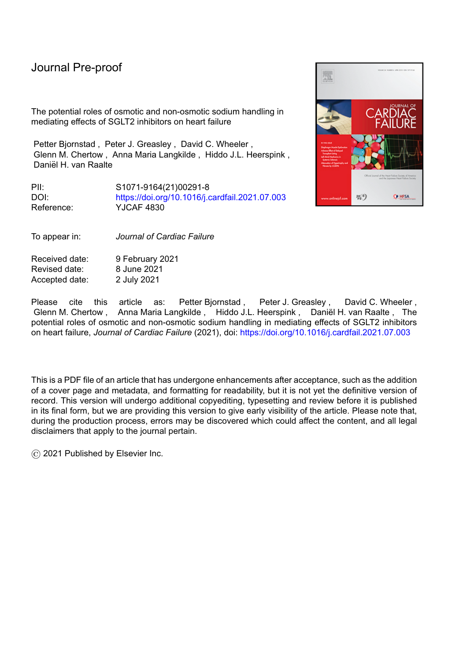**Figure 1** Summary of hospitalization for heart failure results from recent cardiovascular safety trials of SGLT2 inhibitors.



Values in brackets are 95% confidence intervals. Values were derived from the trials' publications; slightly different terminology was used in the trials to describe heart failure hospitalization: EMPA-REG and DECLARE used arate per 1000 pt-yrs , CANVAS used number of participants per 1000 pt-yrs, and CREDENCE and DAPA-HF used events per 1000 [or 100 for DAPA-HF] pt-yrs.

ă.

**Formatted:** Normal, Line spacing: Double

CANVAS, CANagliflozin cardioVascular Assessment Study; CREDENCE, Canagliflozin and Renal Events in Diabetes with Established Nephropathy Clinical Evaluation; DAPA-HF, Dapagliflozin and Prevention of Adverse Outcomes in Heart Failure; DECLARE, Dapagliflozin Effect on Cardiovascular Events–Thrombolysis in Myocardial Infarction 58; EMPA-REG, EMPAgliflozin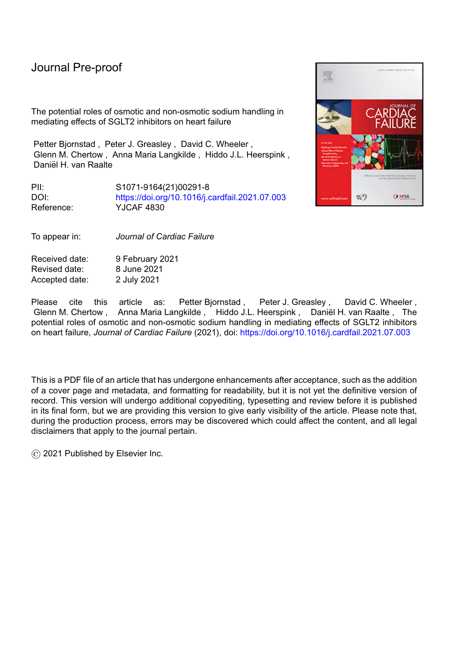### Journal

#### June 7, 2021

cardiovascular outcome event trial in type 2 diabetes mellitus patients—Removing Excess Glucose; HR, hazard ratio; SGLT2, sodium-glucose cotransporter 2; yrs, years.

**Formatted:** Font: 11 pt

#### **Sodium balance, sodium sensitivity, and cardiovascular health**

Given the well-known role of sodium in cardiovascular health, we next address recent research that challenges traditional views about sodium homeostasis, with potential implications for the pathophysiology and treatment of HF, including, including the pathophysiological role of interstitial sodium in HF, as reviewed elsewhere.(16) In most adult populations, the average salt intake well exceeds the ~5-g daily limit recommended by the World Health Organization.(17) Excessive salt intake has been linked to hypertension, CVD,(18) and CKD. Although the pathogenesis underlying the relationship between excessive salt intake and cardiorenal complications remains debated, the leading hypothesis for decades has been that—in so-called salt-sensitive individuals—excess sodium intake with concomitant impaired renal sodium excretion results in extracellular volume (ECV) expansion and hypertension.(19) Particularly iIn patients with CKD, lower glomerular filtration rate (GFR) reduces the rate of sodium and fluid excretion, possibly leading toand activation of the renin–angiotensin–aldosterone system (RAAS) result in and, consequently, through various reduced cardiac output, elevated venous pressure, reduced renal perfusion, reduced cardiac output, and ultimately HF. The net results of these pathophysiological changes include further sodium and water retention with activation of the RAAS and the sympathetic nervous system. However, carefully designed sodium-balance studies in so-called salt-resistant' participants, i.e., individuals in whom increased salt intake does not increase BP or body water/weight, show that much of the ingested sodium excess is in fact not excreted in the urine.(20) Rather, these studies have proposed that sodium may be stored non-osmotically (i.e., without altering ECV) at extrarenal locations, which serve to act as an osmotic sodium buffer. For example, daily rhythmic fluctuations in total body sodium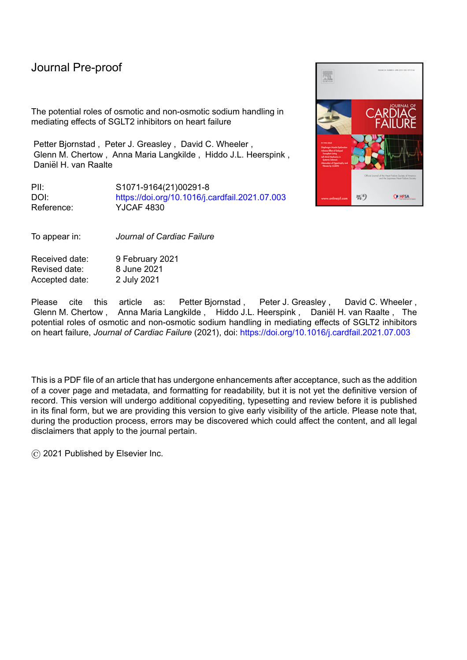#### June 7, 2021 April 9, 2021

59. Chilton R, Tikkanen I, Cannon CP, Crowe S, Woerle HJ, Broedl UC, et al. Effects of empagliflozin on blood pressure and markers of arterial stiffness and vascular resistance in patients with type 2 diabetes. Diabetes Obes Metab. 2015;17:1180–93.

60. Solini A, Giannini L, Seghieri M, Vitolo E, Taddei S, Ghiadoni L, et al. Dapagliflozin acutely improves endothelial dysfunction, reduces aortic stiffness and renal resistive index in type 2 diabetic patients: a pilot study. Cardiovasc Diabetol. 2017;16:138.

61. Jüni RP, Kuster DWD, Goebel M, Helmes M, Musters RJP, van der Velden J, et al. Cardiac microvascular endothelial enhancement of cardiomyocyte function is impaired by inflammation and restored by empagliflozin. JACC Basic Transl Sci. 2019;4:575-91.

62. Uthman L, Homayr A, Jüni RP, Spin EL, Kerindongo R, Boomsma M, et al. Empagliflozin and dapagliflozin reduce ROS generation and restore NO bioavailability in tumor necrosis factor -stimulated human coronary arterial endothelial cells. Cell Physiol Biochem. 2019;53:865-86.

63. Santos-Gallego CG, Requena-Ibanez JA, San Antonio R, Garcia-Ropero A, Ishikawa K, Watanabe S, et al. Empagliflozin Ameliorates Diastolic Dysfunction and Left Ventricular Fibrosis/Stiffness in Nondiabetic Heart Failure: A Multimodality Study. JACC Cardiovasc Imaging. 2021;14:393-407.

64. Pfeifer M, Townsend RR, Davies MJ, Vijapurkar U, Ren J. Effects of canagliflozin, a sodium glucose co-transporter 2 inhibitor, on blood pressure and markers of arterial stiffness in patients with type 2 diabetes mellitus: a post hoc analysis. Cardiovasc Diabetol. 2017;16:29.

65. Sugiyama S, Jinnouchi H, Kurinami N, Hieshima K, Yoshida A, Jinnouchi K, et al. The SGLT2 Inhibitor Dapagliflozin Significantly Improves the Peripheral Microvascular Endothelial Function in Patients with Uncontrolled Type 2 Diabetes Mellitus. Intern Med. 2018;57:2147-56.

**Formatted:** Font: (Default) Times New Roman, 12 pt, Dutch (Netherlands), Do not check spelling or grammar

**Formatted:** Dutch (Netherlands)

**Formatted:** Font: (Default) Times New Roman, 12 pt, Dutch (Netherlands), Do not check spelling or grammar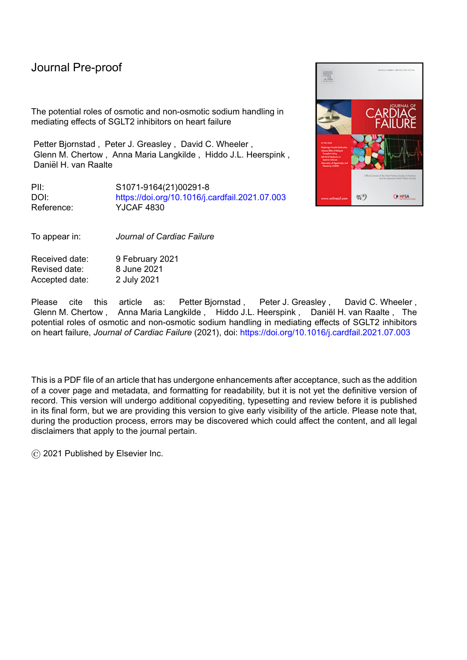#### June 7, 2021 April 9, 2021

66. Shigiyama F, Kumashiro N, Miyagi M, Ikehara K, Kanda E, Uchino H, et al. Effectiveness of dapagliflozin on vascular endothelial function and glycemic control in patients with early-stage type 2 diabetes mellitus: DEFENCE study. Cardiovasc Diabetol. 2017;16:84.

67. Kusche-Vihrog K, Schmitz B, Brand E. Salt controls endothelial and vascular phenotype. Pflugers Arch. 2015;467:499-512.

68. Oberleithner H. A physiological concept unmasking vascular salt sensitivity in man.

Pflugers Arch. 2012;464:287-93.

69. Baartscheer A, Schumacher CA, Wüst RC, Fiolet JW, Stienen GJ, Coronel R, et al.

Empagliflozin decreases myocardial cytoplasmic Na+ through inhibition of the cardiac

Na+/H+ exchanger in rats and rabbits. Diabetologia. 2017;60:568-73.

70. Uthman L, Baartscheer A, Schumacher CA, Fiolet JWT, Kuschma MC, Hollmann MW, et al. Direct cardiac actions of sodium glucose cotransporter 2 inhibitors target pathogenic mechanisms underlying heart failure in diabetic patients. Front Physiol. 2018;9:1575.

71. Heerspink HJL, Stefansson BV, Correa-Rotter R, Chertow GM, Greene T, Hou FF, et al. Dapagliflozin in patients with chronic kidney disease. N Engl J Med. 2020;383:1436-46.

72. McMurray JJV, Solomon SD, Inzucchi SE, Køber L, Kosiborod MN, Martinez FA, et al. Dapagliflozin in patients with heart failure and reduced ejection fraction. N Engl J Med. 2019;381:1995-2008.

73. Nassif ME, Windsor SL, Tang F, Khariton Y, Husain M, Inzucchi SE, et al. Dapagliflozin effects on biomarkers, symptoms, and functional status in patients with heart failure with reduced ejection fraction: the DEFINE-HF trial. Circulation. 2019;140:1463-76. **Formatted:** Font: (Default) Times New Roman, 12 pt, Dutch (Netherlands), Do not check spelling or grammar

**Formatted:** Dutch (Netherlands)

**Formatted:** Font: (Default) Times New Roman, 12 pt, Dutch (Netherlands), Do not check spelling or grammar